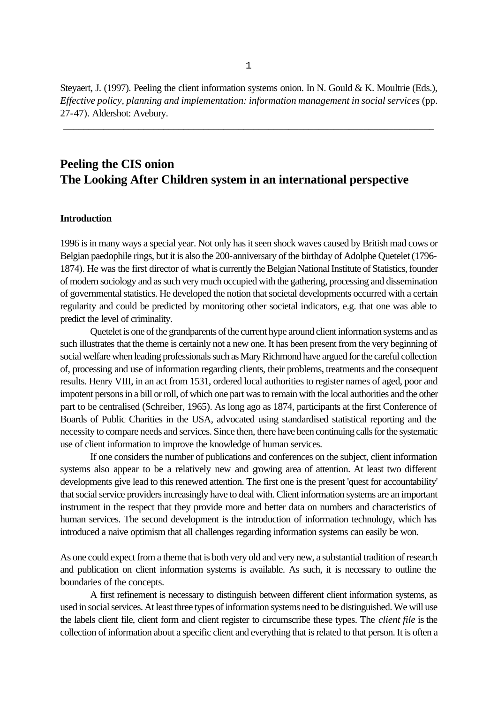Steyaert, J. (1997). Peeling the client information systems onion. In N. Gould & K. Moultrie (Eds.), *Effective policy, planning and implementation: information management in social services* (pp. 27-47). Aldershot: Avebury.

\_\_\_\_\_\_\_\_\_\_\_\_\_\_\_\_\_\_\_\_\_\_\_\_\_\_\_\_\_\_\_\_\_\_\_\_\_\_\_\_\_\_\_\_\_\_\_\_\_\_\_\_\_\_\_\_\_\_\_\_\_\_\_\_\_\_\_\_\_\_\_\_\_\_

# **Peeling the CIS onion The Looking After Children system in an international perspective**

#### **Introduction**

1996 is in many ways a special year. Not only has it seen shock waves caused by British mad cows or Belgian paedophile rings, but it is also the 200-anniversary of the birthday of Adolphe Quetelet (1796- 1874). He was the first director of what is currently the Belgian National Institute of Statistics, founder of modern sociology and as such very much occupied with the gathering, processing and dissemination of governmental statistics. He developed the notion that societal developments occurred with a certain regularity and could be predicted by monitoring other societal indicators, e.g. that one was able to predict the level of criminality.

Quetelet is one of the grandparents of the current hype around client information systems and as such illustrates that the theme is certainly not a new one. It has been present from the very beginning of social welfare when leading professionals such as Mary Richmond have argued for the careful collection of, processing and use of information regarding clients, their problems, treatments and the consequent results. Henry VIII, in an act from 1531, ordered local authorities to register names of aged, poor and impotent persons in a bill or roll, of which one part was to remain with the local authorities and the other part to be centralised (Schreiber, 1965). As long ago as 1874, participants at the first Conference of Boards of Public Charities in the USA, advocated using standardised statistical reporting and the necessity to compare needs and services. Since then, there have been continuing calls for the systematic use of client information to improve the knowledge of human services.

If one considers the number of publications and conferences on the subject, client information systems also appear to be a relatively new and growing area of attention. At least two different developments give lead to this renewed attention. The first one is the present 'quest for accountability' that social service providers increasingly have to deal with. Client information systems are an important instrument in the respect that they provide more and better data on numbers and characteristics of human services. The second development is the introduction of information technology, which has introduced a naive optimism that all challenges regarding information systems can easily be won.

As one could expect from a theme that is both very old and very new, a substantial tradition of research and publication on client information systems is available. As such, it is necessary to outline the boundaries of the concepts.

A first refinement is necessary to distinguish between different client information systems, as used in social services. At least three types of information systems need to be distinguished. We will use the labels client file, client form and client register to circumscribe these types. The *client file* is the collection of information about a specific client and everything that is related to that person. It is often a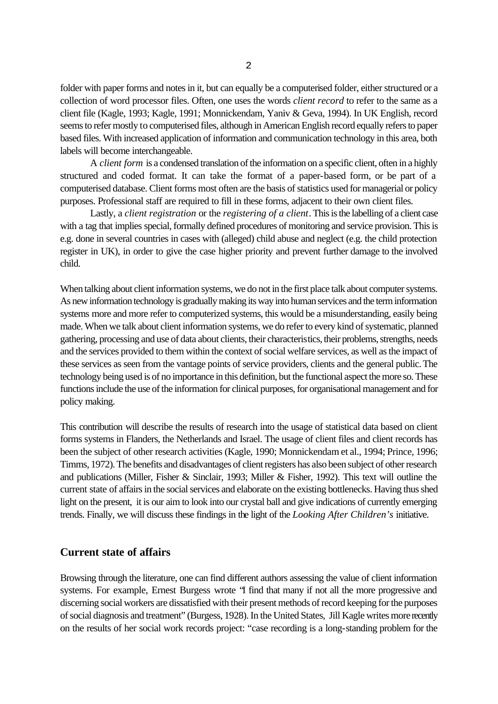folder with paper forms and notes in it, but can equally be a computerised folder, either structured or a collection of word processor files. Often, one uses the words *client record* to refer to the same as a client file (Kagle, 1993; Kagle, 1991; Monnickendam, Yaniv & Geva, 1994). In UK English, record seems to refer mostly to computerised files, although in American English record equally refers to paper based files. With increased application of information and communication technology in this area, both labels will become interchangeable.

A *client form* is a condensed translation of the information on a specific client, often in a highly structured and coded format. It can take the format of a paper-based form, or be part of a computerised database. Client forms most often are the basis of statistics used for managerial or policy purposes. Professional staff are required to fill in these forms, adjacent to their own client files.

Lastly, a *client registration* or the *registering of a client*. This is the labelling of a client case with a tag that implies special, formally defined procedures of monitoring and service provision. This is e.g. done in several countries in cases with (alleged) child abuse and neglect (e.g. the child protection register in UK), in order to give the case higher priority and prevent further damage to the involved child.

When talking about client information systems, we do not in the first place talk about computer systems. As new information technology is gradually making its way into human services and the term information systems more and more refer to computerized systems, this would be a misunderstanding, easily being made. When we talk about client information systems, we do refer to every kind of systematic, planned gathering, processing and use of data about clients, their characteristics, their problems, strengths, needs and the services provided to them within the context of social welfare services, as well as the impact of these services as seen from the vantage points of service providers, clients and the general public. The technology being used is of no importance in this definition, but the functional aspect the more so. These functions include the use of the information for clinical purposes, for organisational management and for policy making.

This contribution will describe the results of research into the usage of statistical data based on client forms systems in Flanders, the Netherlands and Israel. The usage of client files and client records has been the subject of other research activities (Kagle, 1990; Monnickendam et al., 1994; Prince, 1996; Timms, 1972). The benefits and disadvantages of client registers has also been subject of other research and publications (Miller, Fisher & Sinclair, 1993; Miller & Fisher, 1992). This text will outline the current state of affairs in the social services and elaborate on the existing bottlenecks. Having thus shed light on the present, it is our aim to look into our crystal ball and give indications of currently emerging trends. Finally, we will discuss these findings in the light of the *Looking After Children's* initiative.

#### **Current state of affairs**

Browsing through the literature, one can find different authors assessing the value of client information systems. For example, Ernest Burgess wrote "I find that many if not all the more progressive and discerning social workers are dissatisfied with their present methods of record keeping for the purposes of social diagnosis and treatment" (Burgess, 1928). In the United States, Jill Kagle writes more recently on the results of her social work records project: "case recording is a long-standing problem for the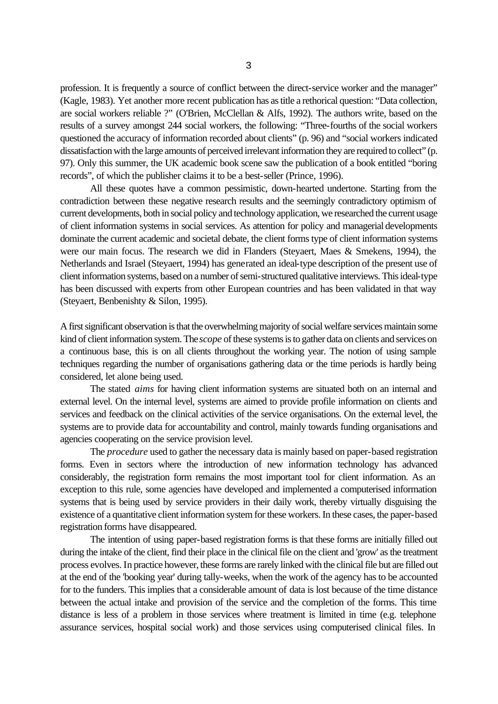profession. It is frequently a source of conflict between the direct-service worker and the manager" (Kagle, 1983). Yet another more recent publication has as title a rethorical question: "Data collection, are social workers reliable ?" (O'Brien, McClellan & Alfs, 1992). The authors write, based on the results of a survey amongst 244 social workers, the following: "Three-fourths of the social workers questioned the accuracy of information recorded about clients" (p. 96) and "social workers indicated dissatisfaction with the large amounts of perceived irrelevant information they are required to collect" (p. 97). Only this summer, the UK academic book scene saw the publication of a book entitled "boring records", of which the publisher claims it to be a best-seller (Prince, 1996).

All these quotes have a common pessimistic, down-hearted undertone. Starting from the contradiction between these negative research results and the seemingly contradictory optimism of current developments, both in social policy and technology application, we researched the current usage of client information systems in social services. As attention for policy and managerial developments dominate the current academic and societal debate, the client forms type of client information systems were our main focus. The research we did in Flanders (Steyaert, Maes & Smekens, 1994), the Netherlands and Israel (Steyaert, 1994) has generated an ideal-type description of the present use of client information systems, based on a number of semi-structured qualitative interviews. This ideal-type has been discussed with experts from other European countries and has been validated in that way (Steyaert, Benbenishty & Silon, 1995).

A first significant observation is that the overwhelming majority of social welfare services maintain some kind of client information system. The *scope* of these systems is to gather data on clients and services on a continuous base, this is on all clients throughout the working year. The notion of using sample techniques regarding the number of organisations gathering data or the time periods is hardly being considered, let alone being used.

The stated *aims* for having client information systems are situated both on an internal and external level. On the internal level, systems are aimed to provide profile information on clients and services and feedback on the clinical activities of the service organisations. On the external level, the systems are to provide data for accountability and control, mainly towards funding organisations and agencies cooperating on the service provision level.

The *procedure* used to gather the necessary data is mainly based on paper-based registration forms. Even in sectors where the introduction of new information technology has advanced considerably, the registration form remains the most important tool for client information. As an exception to this rule, some agencies have developed and implemented a computerised information systems that is being used by service providers in their daily work, thereby virtually disguising the existence of a quantitative client information system for these workers. In these cases, the paper-based registration forms have disappeared.

The intention of using paper-based registration forms is that these forms are initially filled out during the intake of the client, find their place in the clinical file on the client and 'grow' as the treatment process evolves. In practice however, these forms are rarely linked with the clinical file but are filled out at the end of the 'booking year' during tally-weeks, when the work of the agency has to be accounted for to the funders. This implies that a considerable amount of data is lost because of the time distance between the actual intake and provision of the service and the completion of the forms. This time distance is less of a problem in those services where treatment is limited in time (e.g. telephone assurance services, hospital social work) and those services using computerised clinical files. In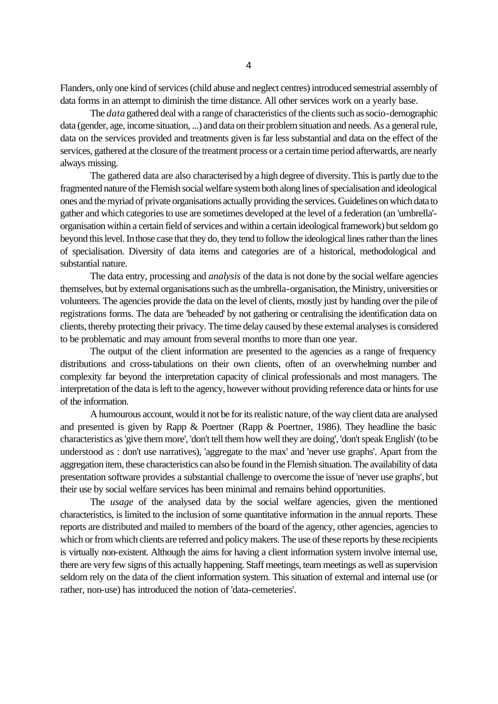Flanders, only one kind of services (child abuse and neglect centres) introduced semestrial assembly of data forms in an attempt to diminish the time distance. All other services work on a yearly base.

The *data* gathered deal with a range of characteristics of the clients such as socio-demographic data (gender, age, income situation, ...) and data on their problem situation and needs. As a general rule, data on the services provided and treatments given is far less substantial and data on the effect of the services, gathered at the closure of the treatment process or a certain time period afterwards, are nearly always missing.

The gathered data are also characterised by a high degree of diversity. This is partly due to the fragmented nature of the Flemish social welfare system both along lines of specialisation and ideological ones and the myriad of private organisations actually providing the services. Guidelines on which data to gather and which categories to use are sometimes developed at the level of a federation (an 'umbrella' organisation within a certain field of services and within a certain ideological framework) but seldom go beyond this level. In those case that they do, they tend to follow the ideological lines rather than the lines of specialisation. Diversity of data items and categories are of a historical, methodological and substantial nature.

The data entry, processing and *analysis* of the data is not done by the social welfare agencies themselves, but by external organisations such as the umbrella-organisation, the Ministry, universities or volunteers. The agencies provide the data on the level of clients, mostly just by handing over the pile of registrations forms. The data are 'beheaded' by not gathering or centralising the identification data on clients, thereby protecting their privacy. The time delay caused by these external analyses is considered to be problematic and may amount from several months to more than one year.

The output of the client information are presented to the agencies as a range of frequency distributions and cross-tabulations on their own clients, often of an overwhelming number and complexity far beyond the interpretation capacity of clinical professionals and most managers. The interpretation of the data is left to the agency, however without providing reference data or hints for use of the information.

A humourous account, would it not be for its realistic nature, of the way client data are analysed and presented is given by Rapp & Poertner (Rapp & Poertner, 1986). They headline the basic characteristics as 'give them more', 'don't tell them how well they are doing', 'don't speak English' (to be understood as : don't use narratives), 'aggregate to the max' and 'never use graphs'. Apart from the aggregation item, these characteristics can also be found in the Flemish situation. The availability of data presentation software provides a substantial challenge to overcome the issue of 'never use graphs', but their use by social welfare services has been minimal and remains behind opportunities.

The *usage* of the analysed data by the social welfare agencies, given the mentioned characteristics, is limited to the inclusion of some quantitative information in the annual reports. These reports are distributed and mailed to members of the board of the agency, other agencies, agencies to which or from which clients are referred and policy makers. The use of these reports by these recipients is virtually non-existent. Although the aims for having a client information system involve internal use, there are very few signs of this actually happening. Staff meetings, team meetings as well as supervision seldom rely on the data of the client information system. This situation of external and internal use (or rather, non-use) has introduced the notion of 'data-cemeteries'.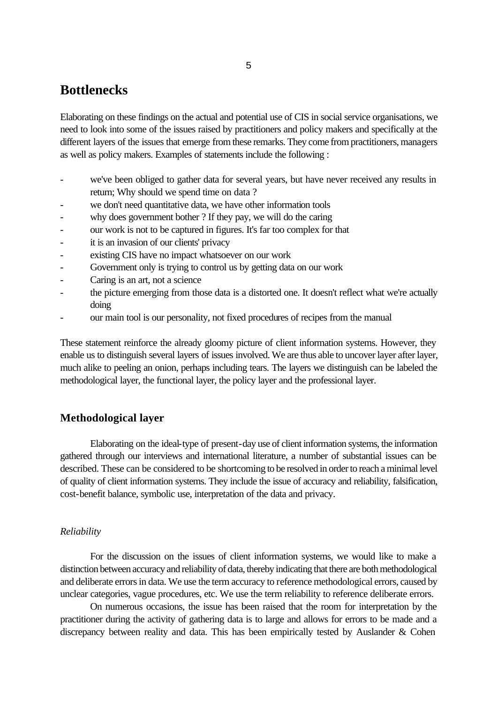# **Bottlenecks**

Elaborating on these findings on the actual and potential use of CIS in social service organisations, we need to look into some of the issues raised by practitioners and policy makers and specifically at the different layers of the issues that emerge from these remarks. They come from practitioners, managers as well as policy makers. Examples of statements include the following :

- we've been obliged to gather data for several years, but have never received any results in return; Why should we spend time on data ?
- we don't need quantitative data, we have other information tools
- why does government bother ? If they pay, we will do the caring
- our work is not to be captured in figures. It's far too complex for that
- it is an invasion of our clients' privacy
- existing CIS have no impact whatsoever on our work
- Government only is trying to control us by getting data on our work
- Caring is an art, not a science
- the picture emerging from those data is a distorted one. It doesn't reflect what we're actually doing
- our main tool is our personality, not fixed procedures of recipes from the manual

These statement reinforce the already gloomy picture of client information systems. However, they enable us to distinguish several layers of issues involved. We are thus able to uncover layer after layer, much alike to peeling an onion, perhaps including tears. The layers we distinguish can be labeled the methodological layer, the functional layer, the policy layer and the professional layer.

## **Methodological layer**

Elaborating on the ideal-type of present-day use of client information systems, the information gathered through our interviews and international literature, a number of substantial issues can be described. These can be considered to be shortcoming to be resolved in order to reach a minimal level of quality of client information systems. They include the issue of accuracy and reliability, falsification, cost-benefit balance, symbolic use, interpretation of the data and privacy.

#### *Reliability*

For the discussion on the issues of client information systems, we would like to make a distinction between accuracy and reliability of data, thereby indicating that there are both methodological and deliberate errors in data. We use the term accuracy to reference methodological errors, caused by unclear categories, vague procedures, etc. We use the term reliability to reference deliberate errors.

On numerous occasions, the issue has been raised that the room for interpretation by the practitioner during the activity of gathering data is to large and allows for errors to be made and a discrepancy between reality and data. This has been empirically tested by Auslander & Cohen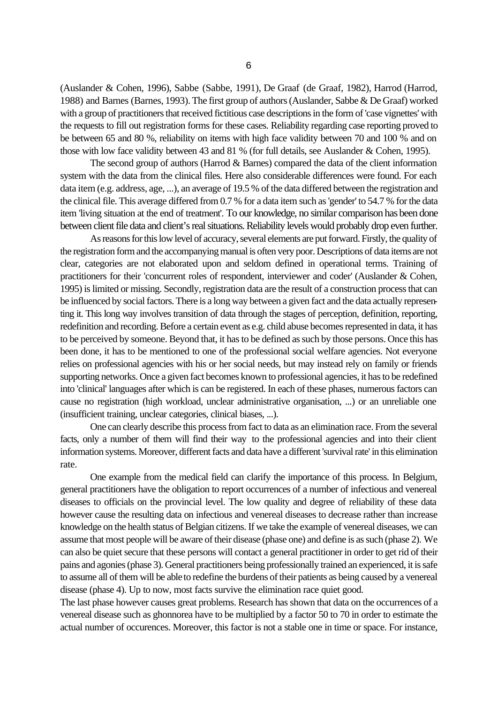(Auslander & Cohen, 1996), Sabbe (Sabbe, 1991), De Graaf (de Graaf, 1982), Harrod (Harrod, 1988) and Barnes (Barnes, 1993). The first group of authors (Auslander, Sabbe & De Graaf) worked with a group of practitioners that received fictitious case descriptions in the form of 'case vignettes' with the requests to fill out registration forms for these cases. Reliability regarding case reporting proved to be between 65 and 80 %, reliability on items with high face validity between 70 and 100 % and on those with low face validity between 43 and 81 % (for full details, see Auslander & Cohen, 1995).

The second group of authors (Harrod  $&$  Barnes) compared the data of the client information system with the data from the clinical files. Here also considerable differences were found. For each data item (e.g. address, age, ...), an average of 19.5 % of the data differed between the registration and the clinical file. This average differed from 0.7 % for a data item such as 'gender' to 54.7 % for the data item 'living situation at the end of treatment'. To our knowledge, no similar comparison has been done between client file data and client's real situations. Reliability levels would probably drop even further.

As reasons for this low level of accuracy, several elements are put forward. Firstly, the quality of the registration form and the accompanying manual is often very poor. Descriptions of data items are not clear, categories are not elaborated upon and seldom defined in operational terms. Training of practitioners for their 'concurrent roles of respondent, interviewer and coder' (Auslander & Cohen, 1995) is limited or missing. Secondly, registration data are the result of a construction process that can be influenced by social factors. There is a long way between a given fact and the data actually representing it. This long way involves transition of data through the stages of perception, definition, reporting, redefinition and recording. Before a certain event as e.g. child abuse becomes represented in data, it has to be perceived by someone. Beyond that, it has to be defined as such by those persons. Once this has been done, it has to be mentioned to one of the professional social welfare agencies. Not everyone relies on professional agencies with his or her social needs, but may instead rely on family or friends supporting networks. Once a given fact becomes known to professional agencies, it has to be redefined into 'clinical' languages after which is can be registered. In each of these phases, numerous factors can cause no registration (high workload, unclear administrative organisation, ...) or an unreliable one (insufficient training, unclear categories, clinical biases, ...).

One can clearly describe this process from fact to data as an elimination race. From the several facts, only a number of them will find their way to the professional agencies and into their client information systems. Moreover, different facts and data have a different 'survival rate' in this elimination rate.

One example from the medical field can clarify the importance of this process. In Belgium, general practitioners have the obligation to report occurrences of a number of infectious and venereal diseases to officials on the provincial level. The low quality and degree of reliability of these data however cause the resulting data on infectious and venereal diseases to decrease rather than increase knowledge on the health status of Belgian citizens. If we take the example of venereal diseases, we can assume that most people will be aware of their disease (phase one) and define is as such (phase 2). We can also be quiet secure that these persons will contact a general practitioner in order to get rid of their pains and agonies (phase 3). General practitioners being professionally trained an experienced, it is safe to assume all of them will be able to redefine the burdens of their patients as being caused by a venereal disease (phase 4). Up to now, most facts survive the elimination race quiet good.

The last phase however causes great problems. Research has shown that data on the occurrences of a venereal disease such as ghonnorea have to be multiplied by a factor 50 to 70 in order to estimate the actual number of occurences. Moreover, this factor is not a stable one in time or space. For instance,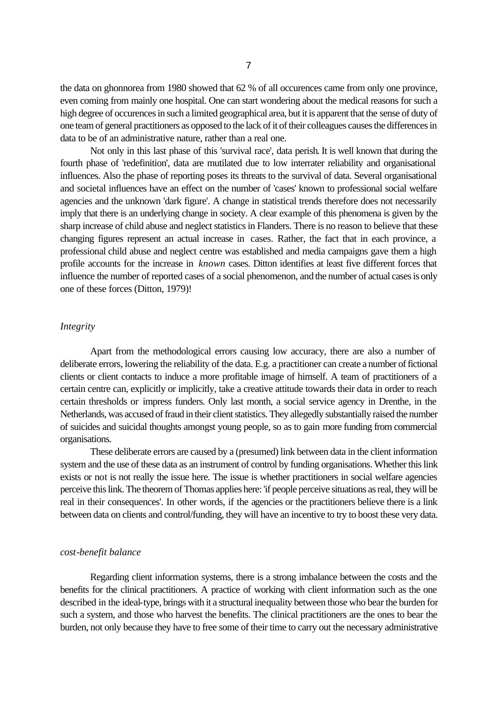the data on ghonnorea from 1980 showed that 62 % of all occurences came from only one province, even coming from mainly one hospital. One can start wondering about the medical reasons for such a high degree of occurences in such a limited geographical area, but it is apparent that the sense of duty of one team of general practitioners as opposed to the lack of it of their colleagues causes the differences in data to be of an administrative nature, rather than a real one.

Not only in this last phase of this 'survival race', data perish. It is well known that during the fourth phase of 'redefinition', data are mutilated due to low interrater reliability and organisational influences. Also the phase of reporting poses its threats to the survival of data. Several organisational and societal influences have an effect on the number of 'cases' known to professional social welfare agencies and the unknown 'dark figure'. A change in statistical trends therefore does not necessarily imply that there is an underlying change in society. A clear example of this phenomena is given by the sharp increase of child abuse and neglect statistics in Flanders. There is no reason to believe that these changing figures represent an actual increase in cases. Rather, the fact that in each province, a professional child abuse and neglect centre was established and media campaigns gave them a high profile accounts for the increase in *known* cases. Ditton identifies at least five different forces that influence the number of reported cases of a social phenomenon, and the number of actual cases is only one of these forces (Ditton, 1979)!

## *Integrity*

Apart from the methodological errors causing low accuracy, there are also a number of deliberate errors, lowering the reliability of the data. E.g. a practitioner can create a number of fictional clients or client contacts to induce a more profitable image of himself. A team of practitioners of a certain centre can, explicitly or implicitly, take a creative attitude towards their data in order to reach certain thresholds or impress funders. Only last month, a social service agency in Drenthe, in the Netherlands, was accused of fraud in their client statistics. They allegedly substantially raised the number of suicides and suicidal thoughts amongst young people, so as to gain more funding from commercial organisations.

These deliberate errors are caused by a (presumed) link between data in the client information system and the use of these data as an instrument of control by funding organisations. Whether this link exists or not is not really the issue here. The issue is whether practitioners in social welfare agencies perceive this link. The theorem of Thomas applies here: 'if people perceive situations as real, they will be real in their consequences'. In other words, if the agencies or the practitioners believe there is a link between data on clients and control/funding, they will have an incentive to try to boost these very data.

#### *cost-benefit balance*

Regarding client information systems, there is a strong imbalance between the costs and the benefits for the clinical practitioners. A practice of working with client information such as the one described in the ideal-type, brings with it a structural inequality between those who bear the burden for such a system, and those who harvest the benefits. The clinical practitioners are the ones to bear the burden, not only because they have to free some of their time to carry out the necessary administrative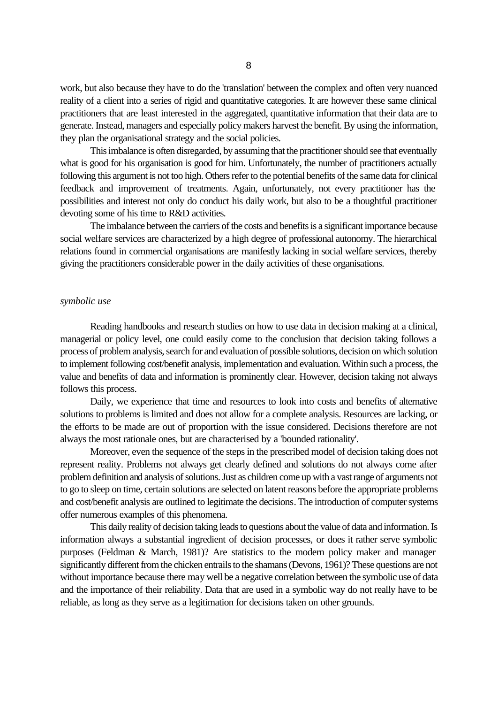work, but also because they have to do the 'translation' between the complex and often very nuanced reality of a client into a series of rigid and quantitative categories. It are however these same clinical practitioners that are least interested in the aggregated, quantitative information that their data are to generate. Instead, managers and especially policy makers harvest the benefit. By using the information, they plan the organisational strategy and the social policies.

This imbalance is often disregarded, by assuming that the practitioner should see that eventually what is good for his organisation is good for him. Unfortunately, the number of practitioners actually following this argument is not too high. Others refer to the potential benefits of the same data for clinical feedback and improvement of treatments. Again, unfortunately, not every practitioner has the possibilities and interest not only do conduct his daily work, but also to be a thoughtful practitioner devoting some of his time to R&D activities.

The imbalance between the carriers of the costs and benefits is a significant importance because social welfare services are characterized by a high degree of professional autonomy. The hierarchical relations found in commercial organisations are manifestly lacking in social welfare services, thereby giving the practitioners considerable power in the daily activities of these organisations.

#### *symbolic use*

Reading handbooks and research studies on how to use data in decision making at a clinical, managerial or policy level, one could easily come to the conclusion that decision taking follows a process of problem analysis, search for and evaluation of possible solutions, decision on which solution to implement following cost/benefit analysis, implementation and evaluation. Within such a process, the value and benefits of data and information is prominently clear. However, decision taking not always follows this process.

Daily, we experience that time and resources to look into costs and benefits of alternative solutions to problems is limited and does not allow for a complete analysis. Resources are lacking, or the efforts to be made are out of proportion with the issue considered. Decisions therefore are not always the most rationale ones, but are characterised by a 'bounded rationality'.

Moreover, even the sequence of the steps in the prescribed model of decision taking does not represent reality. Problems not always get clearly defined and solutions do not always come after problem definition and analysis of solutions. Just as children come up with a vast range of arguments not to go to sleep on time, certain solutions are selected on latent reasons before the appropriate problems and cost/benefit analysis are outlined to legitimate the decisions. The introduction of computer systems offer numerous examples of this phenomena.

This daily reality of decision taking leads to questions about the value of data and information. Is information always a substantial ingredient of decision processes, or does it rather serve symbolic purposes (Feldman & March, 1981)? Are statistics to the modern policy maker and manager significantly different from the chicken entrails to the shamans (Devons, 1961)? These questions are not without importance because there may well be a negative correlation between the symbolic use of data and the importance of their reliability. Data that are used in a symbolic way do not really have to be reliable, as long as they serve as a legitimation for decisions taken on other grounds.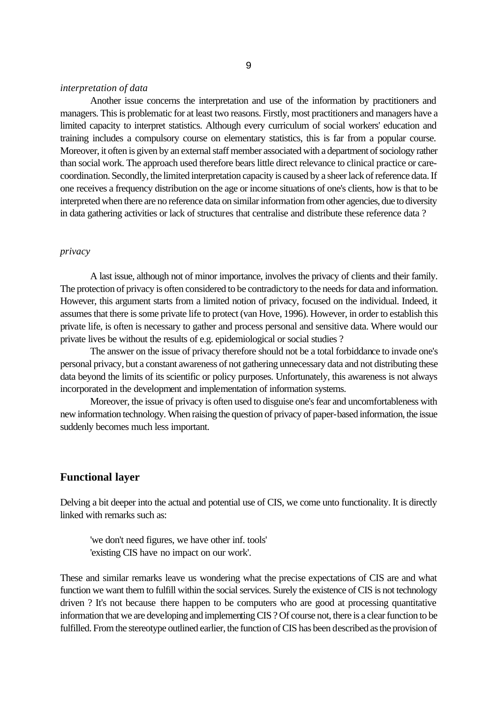#### *interpretation of data*

Another issue concerns the interpretation and use of the information by practitioners and managers. This is problematic for at least two reasons. Firstly, most practitioners and managers have a limited capacity to interpret statistics. Although every curriculum of social workers' education and training includes a compulsory course on elementary statistics, this is far from a popular course. Moreover, it often is given by an external staff member associated with a department of sociology rather than social work. The approach used therefore bears little direct relevance to clinical practice or carecoordination. Secondly, the limited interpretation capacity is caused by a sheer lack of reference data. If one receives a frequency distribution on the age or income situations of one's clients, how is that to be interpreted when there are no reference data on similar information from other agencies, due to diversity in data gathering activities or lack of structures that centralise and distribute these reference data ?

## *privacy*

A last issue, although not of minor importance, involves the privacy of clients and their family. The protection of privacy is often considered to be contradictory to the needs for data and information. However, this argument starts from a limited notion of privacy, focused on the individual. Indeed, it assumes that there is some private life to protect (van Hove, 1996). However, in order to establish this private life, is often is necessary to gather and process personal and sensitive data. Where would our private lives be without the results of e.g. epidemiological or social studies ?

The answer on the issue of privacy therefore should not be a total forbiddance to invade one's personal privacy, but a constant awareness of not gathering unnecessary data and not distributing these data beyond the limits of its scientific or policy purposes. Unfortunately, this awareness is not always incorporated in the development and implementation of information systems.

Moreover, the issue of privacy is often used to disguise one's fear and uncomfortableness with new information technology. When raising the question of privacy of paper-based information, the issue suddenly becomes much less important.

## **Functional layer**

Delving a bit deeper into the actual and potential use of CIS, we come unto functionality. It is directly linked with remarks such as:

'we don't need figures, we have other inf. tools' 'existing CIS have no impact on our work'.

These and similar remarks leave us wondering what the precise expectations of CIS are and what function we want them to fulfill within the social services. Surely the existence of CIS is not technology driven ? It's not because there happen to be computers who are good at processing quantitative information that we are developing and implementing CIS ? Of course not, there is a clear function to be fulfilled. From the stereotype outlined earlier, the function of CIS has been described as the provision of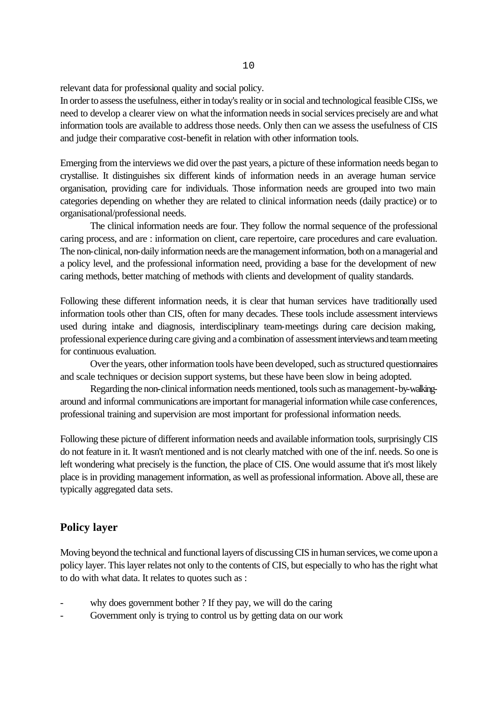relevant data for professional quality and social policy.

In order to assess the usefulness, either in today's reality or in social and technological feasible CISs, we need to develop a clearer view on what the information needs in social services precisely are and what information tools are available to address those needs. Only then can we assess the usefulness of CIS and judge their comparative cost-benefit in relation with other information tools.

Emerging from the interviews we did over the past years, a picture of these information needs began to crystallise. It distinguishes six different kinds of information needs in an average human service organisation, providing care for individuals. Those information needs are grouped into two main categories depending on whether they are related to clinical information needs (daily practice) or to organisational/professional needs.

The clinical information needs are four. They follow the normal sequence of the professional caring process, and are : information on client, care repertoire, care procedures and care evaluation. The non-clinical, non-daily information needs are the management information, both on a managerial and a policy level, and the professional information need, providing a base for the development of new caring methods, better matching of methods with clients and development of quality standards.

Following these different information needs, it is clear that human services have traditionally used information tools other than CIS, often for many decades. These tools include assessment interviews used during intake and diagnosis, interdisciplinary team-meetings during care decision making, professional experience during care giving and a combination of assessment interviews and team meeting for continuous evaluation.

Over the years, other information tools have been developed, such as structured questionnaires and scale techniques or decision support systems, but these have been slow in being adopted.

Regarding the non-clinical information needs mentioned, tools such as management-by-walkingaround and informal communications are important for managerial information while case conferences, professional training and supervision are most important for professional information needs.

Following these picture of different information needs and available information tools, surprisingly CIS do not feature in it. It wasn't mentioned and is not clearly matched with one of the inf. needs. So one is left wondering what precisely is the function, the place of CIS. One would assume that it's most likely place is in providing management information, as well as professional information. Above all, these are typically aggregated data sets.

## **Policy layer**

Moving beyond the technical and functional layers of discussing CIS in human services, we come upon a policy layer. This layer relates not only to the contents of CIS, but especially to who has the right what to do with what data. It relates to quotes such as :

- why does government bother ? If they pay, we will do the caring
- Government only is trying to control us by getting data on our work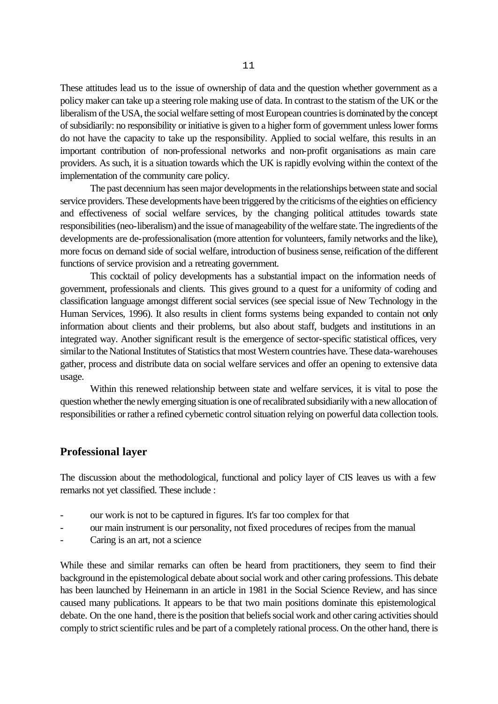These attitudes lead us to the issue of ownership of data and the question whether government as a policy maker can take up a steering role making use of data. In contrast to the statism of the UK or the liberalism of the USA, the social welfare setting of most European countries is dominated by the concept of subsidiarily: no responsibility or initiative is given to a higher form of government unless lower forms do not have the capacity to take up the responsibility. Applied to social welfare, this results in an important contribution of non-professional networks and non-profit organisations as main care providers. As such, it is a situation towards which the UK is rapidly evolving within the context of the implementation of the community care policy.

The past decennium has seen major developments in the relationships between state and social service providers. These developments have been triggered by the criticisms of the eighties on efficiency and effectiveness of social welfare services, by the changing political attitudes towards state responsibilities (neo-liberalism) and the issue of manageability of the welfare state. The ingredients of the developments are de-professionalisation (more attention for volunteers, family networks and the like), more focus on demand side of social welfare, introduction of business sense, reification of the different functions of service provision and a retreating government.

This cocktail of policy developments has a substantial impact on the information needs of government, professionals and clients. This gives ground to a quest for a uniformity of coding and classification language amongst different social services (see special issue of New Technology in the Human Services, 1996). It also results in client forms systems being expanded to contain not only information about clients and their problems, but also about staff, budgets and institutions in an integrated way. Another significant result is the emergence of sector-specific statistical offices, very similar to the National Institutes of Statistics that most Western countries have. These data-warehouses gather, process and distribute data on social welfare services and offer an opening to extensive data usage.

Within this renewed relationship between state and welfare services, it is vital to pose the question whether the newly emerging situation is one of recalibrated subsidiarily with a new allocation of responsibilities or rather a refined cybernetic control situation relying on powerful data collection tools.

### **Professional layer**

The discussion about the methodological, functional and policy layer of CIS leaves us with a few remarks not yet classified. These include :

- our work is not to be captured in figures. It's far too complex for that
- our main instrument is our personality, not fixed procedures of recipes from the manual
- Caring is an art, not a science

While these and similar remarks can often be heard from practitioners, they seem to find their background in the epistemological debate about social work and other caring professions. This debate has been launched by Heinemann in an article in 1981 in the Social Science Review, and has since caused many publications. It appears to be that two main positions dominate this epistemological debate. On the one hand, there is the position that beliefs social work and other caring activities should comply to strict scientific rules and be part of a completely rational process. On the other hand, there is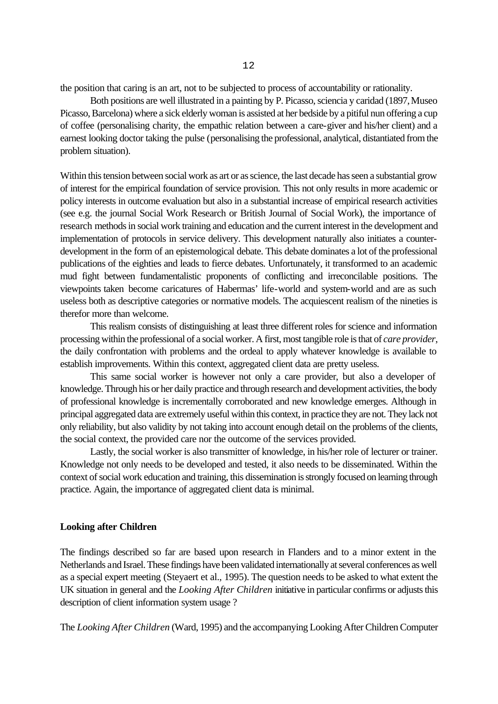the position that caring is an art, not to be subjected to process of accountability or rationality.

Both positions are well illustrated in a painting by P. Picasso, sciencia y caridad (1897, Museo Picasso, Barcelona) where a sick elderly woman is assisted at her bedside by a pitiful nun offering a cup of coffee (personalising charity, the empathic relation between a care-giver and his/her client) and a earnest looking doctor taking the pulse (personalising the professional, analytical, distantiated from the problem situation).

Within this tension between social work as art or as science, the last decade has seen a substantial grow of interest for the empirical foundation of service provision. This not only results in more academic or policy interests in outcome evaluation but also in a substantial increase of empirical research activities (see e.g. the journal Social Work Research or British Journal of Social Work), the importance of research methods in social work training and education and the current interest in the development and implementation of protocols in service delivery. This development naturally also initiates a counterdevelopment in the form of an epistemological debate. This debate dominates a lot of the professional publications of the eighties and leads to fierce debates. Unfortunately, it transformed to an academic mud fight between fundamentalistic proponents of conflicting and irreconcilable positions. The viewpoints taken become caricatures of Habermas' life-world and system-world and are as such useless both as descriptive categories or normative models. The acquiescent realism of the nineties is therefor more than welcome.

This realism consists of distinguishing at least three different roles for science and information processing within the professional of a social worker. A first, most tangible role is that of *care provider*, the daily confrontation with problems and the ordeal to apply whatever knowledge is available to establish improvements. Within this context, aggregated client data are pretty useless.

This same social worker is however not only a care provider, but also a developer of knowledge. Through his or her daily practice and through research and development activities, the body of professional knowledge is incrementally corroborated and new knowledge emerges. Although in principal aggregated data are extremely useful within this context, in practice they are not. They lack not only reliability, but also validity by not taking into account enough detail on the problems of the clients, the social context, the provided care nor the outcome of the services provided.

Lastly, the social worker is also transmitter of knowledge, in his/her role of lecturer or trainer. Knowledge not only needs to be developed and tested, it also needs to be disseminated. Within the context of social work education and training, this dissemination is strongly focused on learning through practice. Again, the importance of aggregated client data is minimal.

#### **Looking after Children**

The findings described so far are based upon research in Flanders and to a minor extent in the Netherlands and Israel. These findings have been validated internationally at several conferences as well as a special expert meeting (Steyaert et al., 1995). The question needs to be asked to what extent the UK situation in general and the *Looking After Children* initiative in particular confirms or adjusts this description of client information system usage ?

The *Looking After Children* (Ward, 1995) and the accompanying Looking After Children Computer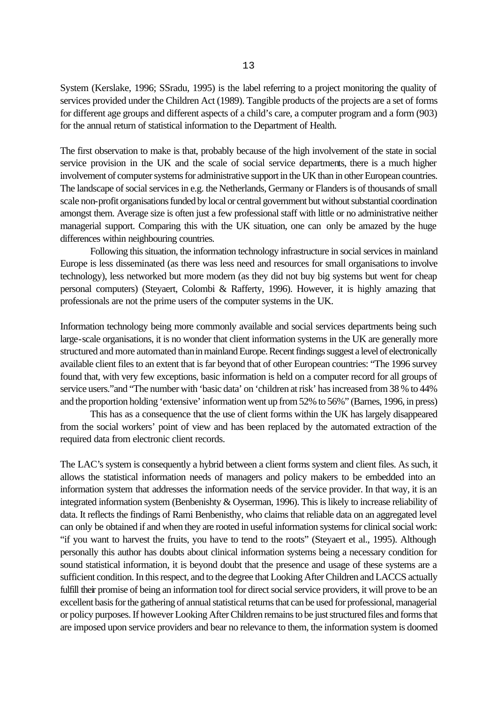System (Kerslake, 1996; SSradu, 1995) is the label referring to a project monitoring the quality of services provided under the Children Act (1989). Tangible products of the projects are a set of forms for different age groups and different aspects of a child's care, a computer program and a form (903) for the annual return of statistical information to the Department of Health.

The first observation to make is that, probably because of the high involvement of the state in social service provision in the UK and the scale of social service departments, there is a much higher involvement of computer systems for administrative support in the UK than in other European countries. The landscape of social services in e.g. the Netherlands, Germany or Flanders is of thousands of small scale non-profit organisations funded by local or central government but without substantial coordination amongst them. Average size is often just a few professional staff with little or no administrative neither managerial support. Comparing this with the UK situation, one can only be amazed by the huge differences within neighbouring countries.

Following this situation, the information technology infrastructure in social services in mainland Europe is less disseminated (as there was less need and resources for small organisations to involve technology), less networked but more modern (as they did not buy big systems but went for cheap personal computers) (Steyaert, Colombi & Rafferty, 1996). However, it is highly amazing that professionals are not the prime users of the computer systems in the UK.

Information technology being more commonly available and social services departments being such large-scale organisations, it is no wonder that client information systems in the UK are generally more structured and more automated than in mainland Europe. Recent findings suggest a level of electronically available client files to an extent that is far beyond that of other European countries: "The 1996 survey found that, with very few exceptions, basic information is held on a computer record for all groups of service users."and "The number with 'basic data' on 'children at risk' has increased from 38 % to 44% and the proportion holding 'extensive' information went up from 52% to 56%" (Barnes, 1996, in press)

This has as a consequence that the use of client forms within the UK has largely disappeared from the social workers' point of view and has been replaced by the automated extraction of the required data from electronic client records.

The LAC's system is consequently a hybrid between a client forms system and client files. As such, it allows the statistical information needs of managers and policy makers to be embedded into an information system that addresses the information needs of the service provider. In that way, it is an integrated information system (Benbenishty & Oyserman, 1996). This is likely to increase reliability of data. It reflects the findings of Rami Benbenisthy, who claims that reliable data on an aggregated level can only be obtained if and when they are rooted in useful information systems for clinical social work: "if you want to harvest the fruits, you have to tend to the roots" (Steyaert et al., 1995). Although personally this author has doubts about clinical information systems being a necessary condition for sound statistical information, it is beyond doubt that the presence and usage of these systems are a sufficient condition. In this respect, and to the degree that Looking After Children and LACCS actually fulfill their promise of being an information tool for direct social service providers, it will prove to be an excellent basis for the gathering of annual statistical returns that can be used for professional, managerial or policy purposes. If however Looking After Children remains to be just structured files and forms that are imposed upon service providers and bear no relevance to them, the information system is doomed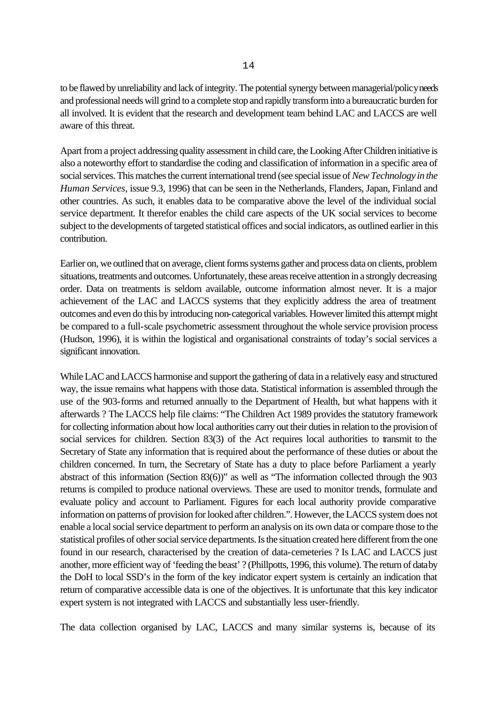to be flawed by unreliability and lack of integrity. The potential synergy between managerial/policy needs and professional needs will grind to a complete stop and rapidly transform into a bureaucratic burden for all involved. It is evident that the research and development team behind LAC and LACCS are well aware of this threat.

Apart from a project addressing quality assessment in child care, the Looking After Children initiative is also a noteworthy effort to standardise the coding and classification of information in a specific area of social services. This matches the current international trend (see special issue of *New Technology in the Human Services*, issue 9.3, 1996) that can be seen in the Netherlands, Flanders, Japan, Finland and other countries. As such, it enables data to be comparative above the level of the individual social service department. It therefor enables the child care aspects of the UK social services to become subject to the developments of targeted statistical offices and social indicators, as outlined earlier in this contribution.

Earlier on, we outlined that on average, client forms systems gather and process data on clients, problem situations, treatments and outcomes. Unfortunately, these areas receive attention in a strongly decreasing order. Data on treatments is seldom available, outcome information almost never. It is a major achievement of the LAC and LACCS systems that they explicitly address the area of treatment outcomes and even do this by introducing non-categorical variables. However limited this attempt might be compared to a full-scale psychometric assessment throughout the whole service provision process (Hudson, 1996), it is within the logistical and organisational constraints of today's social services a significant innovation.

While LAC and LACCS harmonise and support the gathering of data in a relatively easy and structured way, the issue remains what happens with those data. Statistical information is assembled through the use of the 903-forms and returned annually to the Department of Health, but what happens with it afterwards ? The LACCS help file claims: "The Children Act 1989 provides the statutory framework for collecting information about how local authorities carry out their duties in relation to the provision of social services for children. Section 83(3) of the Act requires local authorities to transmit to the Secretary of State any information that is required about the performance of these duties or about the children concerned. In turn, the Secretary of State has a duty to place before Parliament a yearly abstract of this information (Section 83(6))" as well as "The information collected through the 903 returns is compiled to produce national overviews. These are used to monitor trends, formulate and evaluate policy and account to Parliament. Figures for each local authority provide comparative information on patterns of provision for looked after children.". However, the LACCS system does not enable a local social service department to perform an analysis on its own data or compare those to the statistical profiles of other social service departments. Is the situation created here different from the one found in our research, characterised by the creation of data-cemeteries ? Is LAC and LACCS just another, more efficient way of 'feeding the beast' ? (Phillpotts, 1996, this volume). The return of data by the DoH to local SSD's in the form of the key indicator expert system is certainly an indication that return of comparative accessible data is one of the objectives. It is unfortunate that this key indicator expert system is not integrated with LACCS and substantially less user-friendly.

The data collection organised by LAC, LACCS and many similar systems is, because of its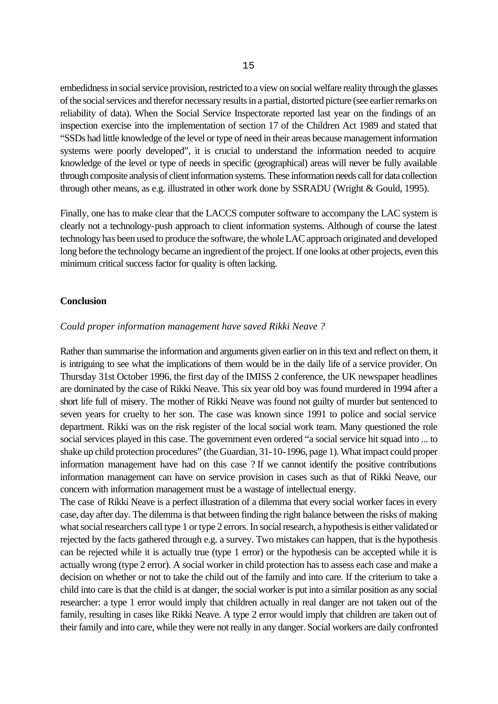embedidness in social service provision, restricted to a view on social welfare reality through the glasses of the social services and therefor necessary results in a partial, distorted picture (see earlier remarks on reliability of data). When the Social Service Inspectorate reported last year on the findings of an inspection exercise into the implementation of section 17 of the Children Act 1989 and stated that "SSDs had little knowledge of the level or type of need in their areas because management information systems were poorly developed", it is crucial to understand the information needed to acquire knowledge of the level or type of needs in specific (geographical) areas will never be fully available through composite analysis of client information systems. These information needs call for data collection through other means, as e.g. illustrated in other work done by SSRADU (Wright & Gould, 1995).

Finally, one has to make clear that the LACCS computer software to accompany the LAC system is clearly not a technology-push approach to client information systems. Although of course the latest technology has been used to produce the software, the whole LAC approach originated and developed long before the technology became an ingredient of the project. If one looks at other projects, even this minimum critical success factor for quality is often lacking.

#### **Conclusion**

## *Could proper information management have saved Rikki Neave ?*

Rather than summarise the information and arguments given earlier on in this text and reflect on them, it is intriguing to see what the implications of them would be in the daily life of a service provider. On Thursday 31st October 1996, the first day of the IMISS 2 conference, the UK newspaper headlines are dominated by the case of Rikki Neave. This six year old boy was found murdered in 1994 after a short life full of misery. The mother of Rikki Neave was found not guilty of murder but sentenced to seven years for cruelty to her son. The case was known since 1991 to police and social service department. Rikki was on the risk register of the local social work team. Many questioned the role social services played in this case. The government even ordered "a social service hit squad into ... to shake up child protection procedures" (the Guardian, 31-10-1996, page 1). What impact could proper information management have had on this case ? If we cannot identify the positive contributions information management can have on service provision in cases such as that of Rikki Neave, our concern with information management must be a wastage of intellectual energy.

The case of Rikki Neave is a perfect illustration of a dilemma that every social worker faces in every case, day after day. The dilemma is that between finding the right balance between the risks of making what social researchers call type 1 or type 2 errors. In social research, a hypothesis is either validated or rejected by the facts gathered through e.g. a survey. Two mistakes can happen, that is the hypothesis can be rejected while it is actually true (type 1 error) or the hypothesis can be accepted while it is actually wrong (type 2 error). A social worker in child protection has to assess each case and make a decision on whether or not to take the child out of the family and into care. If the criterium to take a child into care is that the child is at danger, the social worker is put into a similar position as any social researcher: a type 1 error would imply that children actually in real danger are not taken out of the family, resulting in cases like Rikki Neave. A type 2 error would imply that children are taken out of their family and into care, while they were not really in any danger. Social workers are daily confronted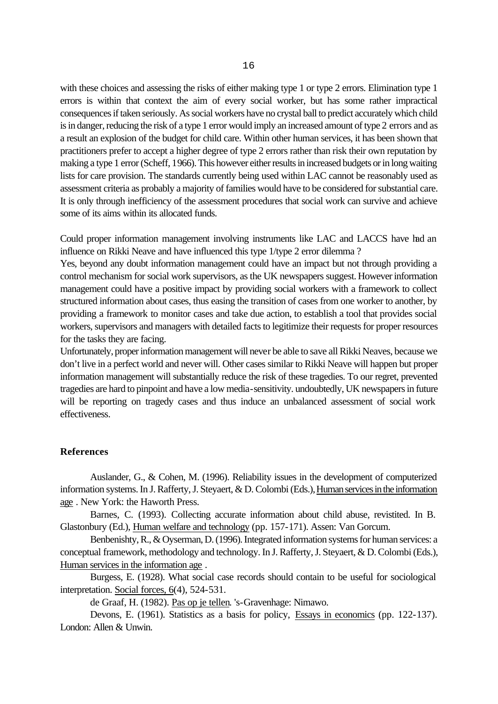with these choices and assessing the risks of either making type 1 or type 2 errors. Elimination type 1 errors is within that context the aim of every social worker, but has some rather impractical consequences if taken seriously. As social workers have no crystal ball to predict accurately which child is in danger, reducing the risk of a type 1 error would imply an increased amount of type 2 errors and as a result an explosion of the budget for child care. Within other human services, it has been shown that practitioners prefer to accept a higher degree of type 2 errors rather than risk their own reputation by making a type 1 error (Scheff, 1966). This however either results in increased budgets or in long waiting lists for care provision. The standards currently being used within LAC cannot be reasonably used as assessment criteria as probably a majority of families would have to be considered for substantial care. It is only through inefficiency of the assessment procedures that social work can survive and achieve some of its aims within its allocated funds.

Could proper information management involving instruments like LAC and LACCS have had an influence on Rikki Neave and have influenced this type 1/type 2 error dilemma ?

Yes, beyond any doubt information management could have an impact but not through providing a control mechanism for social work supervisors, as the UK newspapers suggest. However information management could have a positive impact by providing social workers with a framework to collect structured information about cases, thus easing the transition of cases from one worker to another, by providing a framework to monitor cases and take due action, to establish a tool that provides social workers, supervisors and managers with detailed facts to legitimize their requests for proper resources for the tasks they are facing.

Unfortunately, proper information management will never be able to save all Rikki Neaves, because we don't live in a perfect world and never will. Other cases similar to Rikki Neave will happen but proper information management will substantially reduce the risk of these tragedies. To our regret, prevented tragedies are hard to pinpoint and have a low media-sensitivity. undoubtedly, UK newspapers in future will be reporting on tragedy cases and thus induce an unbalanced assessment of social work effectiveness.

### **References**

Auslander, G., & Cohen, M. (1996). Reliability issues in the development of computerized information systems. In J. Rafferty, J. Steyaert, & D. Colombi (Eds.), Human services in the information age . New York: the Haworth Press.

Barnes, C. (1993). Collecting accurate information about child abuse, revistited. In B. Glastonbury (Ed.), Human welfare and technology (pp. 157-171). Assen: Van Gorcum.

Benbenishty, R., & Oyserman, D. (1996). Integrated information systems for human services: a conceptual framework, methodology and technology. In J. Rafferty, J. Steyaert, & D. Colombi (Eds.), Human services in the information age .

Burgess, E. (1928). What social case records should contain to be useful for sociological interpretation. Social forces, 6(4), 524-531.

de Graaf, H. (1982). Pas op je tellen. 's-Gravenhage: Nimawo.

Devons, E. (1961). Statistics as a basis for policy, Essays in economics (pp. 122-137). London: Allen & Unwin.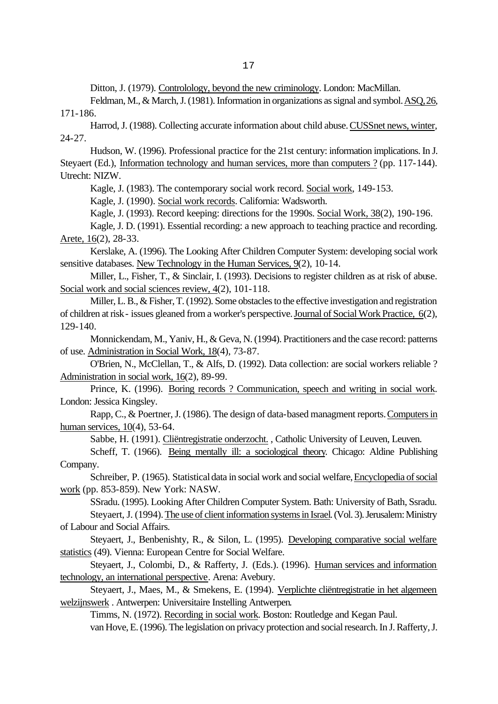Ditton, J. (1979). Controlology, beyond the new criminology. London: MacMillan.

Feldman, M., & March, J. (1981). Information in organizations as signal and symbol. ASQ, 26, 171-186.

Harrod, J. (1988). Collecting accurate information about child abuse. CUSSnet news, winter, 24-27.

Hudson, W. (1996). Professional practice for the 21st century: information implications. In J. Steyaert (Ed.), Information technology and human services, more than computers ? (pp. 117-144). Utrecht: NIZW.

Kagle, J. (1983). The contemporary social work record. Social work, 149-153.

Kagle, J. (1990). Social work records. California: Wadsworth.

Kagle, J. (1993). Record keeping: directions for the 1990s. Social Work, 38(2), 190-196.

Kagle, J. D. (1991). Essential recording: a new approach to teaching practice and recording. Arete, 16(2), 28-33.

Kerslake, A. (1996). The Looking After Children Computer System: developing social work sensitive databases. New Technology in the Human Services, 9(2), 10-14.

Miller, L., Fisher, T., & Sinclair, I. (1993). Decisions to register children as at risk of abuse. Social work and social sciences review,  $4(2)$ , 101-118.

Miller, L. B., & Fisher, T. (1992). Some obstacles to the effective investigation and registration of children at risk - issues gleaned from a worker's perspective. Journal of Social Work Practice, 6(2), 129-140.

Monnickendam, M., Yaniv, H., & Geva, N. (1994). Practitioners and the case record: patterns of use. Administration in Social Work, 18(4), 73-87.

O'Brien, N., McClellan, T., & Alfs, D. (1992). Data collection: are social workers reliable ? Administration in social work, 16(2), 89-99.

Prince, K. (1996). Boring records ? Communication, speech and writing in social work. London: Jessica Kingsley.

Rapp, C., & Poertner, J. (1986). The design of data-based managment reports. Computers in human services, 10(4), 53-64.

Sabbe, H. (1991). Cliëntregistratie onderzocht. , Catholic University of Leuven, Leuven.

Scheff, T. (1966). Being mentally ill: a sociological theory. Chicago: Aldine Publishing Company.

Schreiber, P. (1965). Statistical data in social work and social welfare, Encyclopedia of social work (pp. 853-859). New York: NASW.

SSradu. (1995). Looking After Children Computer System. Bath: University of Bath, Ssradu. Steyaert, J. (1994). The use of client information systems in Israel. (Vol. 3). Jerusalem: Ministry of Labour and Social Affairs.

Steyaert, J., Benbenishty, R., & Silon, L. (1995). Developing comparative social welfare statistics (49). Vienna: European Centre for Social Welfare.

Steyaert, J., Colombi, D., & Rafferty, J. (Eds.). (1996). Human services and information technology, an international perspective. Arena: Avebury.

Steyaert, J., Maes, M., & Smekens, E. (1994). Verplichte cliëntregistratie in het algemeen welzijnswerk . Antwerpen: Universitaire Instelling Antwerpen.

Timms, N. (1972). Recording in social work. Boston: Routledge and Kegan Paul. van Hove, E. (1996). The legislation on privacy protection and social research. In J. Rafferty, J.